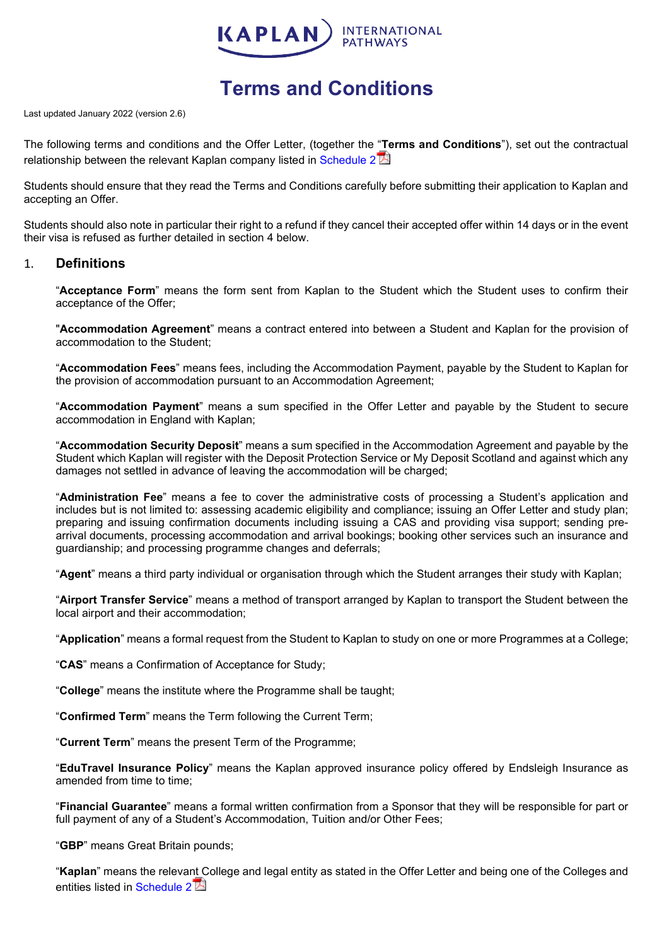

# **Terms and Conditions**

Last updated January 2022 (version 2.6)

The following terms and conditions and the Offer Letter, (together the "**[Te](https://kp.cdnkic.com/wp-content/uploads/2016/08/SCHEDULE-2.pdf)rms and Conditions**"), set out the contractual relationship between the relevant Kaplan company listed in [Schedule 2](https://kp.cdnkic.com/wp-content/uploads/2016/08/SCHEDULE-2.pdf) $\mathbb{Z}$ 

Students should ensure that they read the Terms and Conditions carefully before submitting their application to Kaplan and accepting an Offer.

Students should also note in particular their right to a refund if they cancel their accepted offer within 14 days or in the event their visa is refused as further detailed in section 4 below.

## 1. **Definitions**

"**Acceptance Form**" means the form sent from Kaplan to the Student which the Student uses to confirm their acceptance of the Offer;

"**Accommodation Agreement**" means a contract entered into between a Student and Kaplan for the provision of accommodation to the Student;

"**Accommodation Fees**" means fees, including the Accommodation Payment, payable by the Student to Kaplan for the provision of accommodation pursuant to an Accommodation Agreement;

"**Accommodation Payment**" means a sum specified in the Offer Letter and payable by the Student to secure accommodation in England with Kaplan;

"**Accommodation Security Deposit**" means a sum specified in the Accommodation Agreement and payable by the Student which Kaplan will register with the Deposit Protection Service or My Deposit Scotland and against which any damages not settled in advance of leaving the accommodation will be charged;

"**Administration Fee**" means a fee to cover the administrative costs of processing a Student's application and includes but is not limited to: assessing academic eligibility and compliance; issuing an Offer Letter and study plan; preparing and issuing confirmation documents including issuing a CAS and providing visa support; sending prearrival documents, processing accommodation and arrival bookings; booking other services such an insurance and guardianship; and processing programme changes and deferrals;

"**Agent**" means a third party individual or organisation through which the Student arranges their study with Kaplan;

"**Airport Transfer Service**" means a method of transport arranged by Kaplan to transport the Student between the local airport and their accommodation;

"**Application**" means a formal request from the Student to Kaplan to study on one or more Programmes at a College;

"**CAS**" means a Confirmation of Acceptance for Study;

"**College**" means the institute where the Programme shall be taught;

"**Confirmed Term**" means the Term following the Current Term;

"**Current Term**" means the present Term of the Programme;

"**EduTravel Insurance Policy**" means the Kaplan approved insurance policy offered by Endsleigh Insurance as amended from time to time;

"**Financial Guarantee**" means a formal written confirmation from a Sponsor that they will be responsible for part or full payment of any of a Student's Accommodation. Tuition and/or Other Fees:

"**GBP**" means Great Britain pounds;

"**Kaplan**" means the releva[nt](https://kp.cdnkic.com/wp-content/uploads/2016/08/SCHEDULE-2.pdf) College and legal entity as stated in the Offer Letter and being one of the Colleges and entities listed in [Schedule 2](https://kp.cdnkic.com/wp-content/uploads/2016/08/SCHEDULE-2.pdf)<sup>1</sup>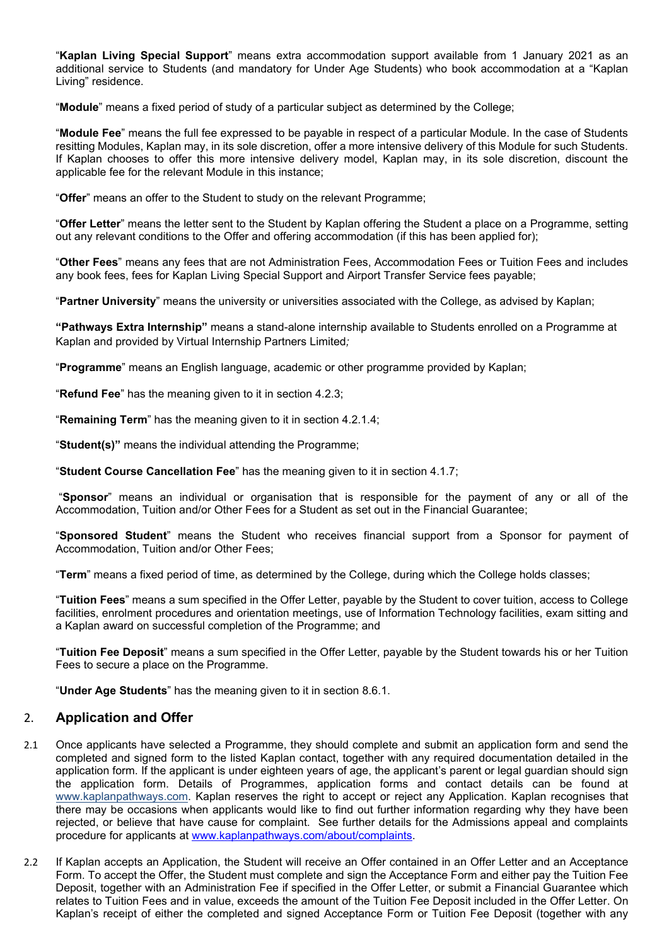"**Kaplan Living Special Support**" means extra accommodation support available from 1 January 2021 as an additional service to Students (and mandatory for Under Age Students) who book accommodation at a "Kaplan Living" residence.

"**Module**" means a fixed period of study of a particular subject as determined by the College;

"**Module Fee**" means the full fee expressed to be payable in respect of a particular Module. In the case of Students resitting Modules, Kaplan may, in its sole discretion, offer a more intensive delivery of this Module for such Students. If Kaplan chooses to offer this more intensive delivery model, Kaplan may, in its sole discretion, discount the applicable fee for the relevant Module in this instance;

"**Offer**" means an offer to the Student to study on the relevant Programme;

"**Offer Letter**" means the letter sent to the Student by Kaplan offering the Student a place on a Programme, setting out any relevant conditions to the Offer and offering accommodation (if this has been applied for);

"**Other Fees**" means any fees that are not Administration Fees, Accommodation Fees or Tuition Fees and includes any book fees, fees for Kaplan Living Special Support and Airport Transfer Service fees payable;

"**Partner University**" means the university or universities associated with the College, as advised by Kaplan;

**"Pathways Extra Internship"** means a stand-alone internship available to Students enrolled on a Programme at Kaplan and provided by Virtual Internship Partners Limited*;*

"**Programme**" means an English language, academic or other programme provided by Kaplan;

"**Refund Fee**" has the meaning given to it in section 4.2.3;

"**Remaining Term**" has the meaning given to it in section 4.2.1.4;

"**Student(s)"** means the individual attending the Programme;

"**Student Course Cancellation Fee**" has the meaning given to it in section 4.1.7;

"**Sponsor**" means an individual or organisation that is responsible for the payment of any or all of the Accommodation, Tuition and/or Other Fees for a Student as set out in the Financial Guarantee;

"**Sponsored Student**" means the Student who receives financial support from a Sponsor for payment of Accommodation, Tuition and/or Other Fees;

"**Term**" means a fixed period of time, as determined by the College, during which the College holds classes;

"**Tuition Fees**" means a sum specified in the Offer Letter, payable by the Student to cover tuition, access to College facilities, enrolment procedures and orientation meetings, use of Information Technology facilities, exam sitting and a Kaplan award on successful completion of the Programme; and

"**Tuition Fee Deposit**" means a sum specified in the Offer Letter, payable by the Student towards his or her Tuition Fees to secure a place on the Programme.

"**Under Age Students**" has the meaning given to it in section 8.6.1.

# 2. **Application and Offer**

- 2.1 Once applicants have selected a Programme, they should complete and submit an application form and send the completed and signed form to the listed Kaplan contact, together with any required documentation detailed in the application form. If the applicant is under eighteen years of age, the applicant's parent or legal guardian should sign the application form. Details of Programmes, application forms and contact details can be found at [www.kaplanpathways.com.](http://www.kaplanpathways.com/) Kaplan reserves the right to accept or reject any Application. Kaplan recognises that there may be occasions when applicants would like to find out further information regarding why they have been rejected, or believe that have cause for complaint. See further details for the Admissions appeal and complaints procedure for applicants at [www.kaplanpathways.com/about/complaints.](http://www.kaplanpathways.com/about/complaints)
- 2.2 If Kaplan accepts an Application, the Student will receive an Offer contained in an Offer Letter and an Acceptance Form. To accept the Offer, the Student must complete and sign the Acceptance Form and either pay the Tuition Fee Deposit, together with an Administration Fee if specified in the Offer Letter, or submit a Financial Guarantee which relates to Tuition Fees and in value, exceeds the amount of the Tuition Fee Deposit included in the Offer Letter. On Kaplan's receipt of either the completed and signed Acceptance Form or Tuition Fee Deposit (together with any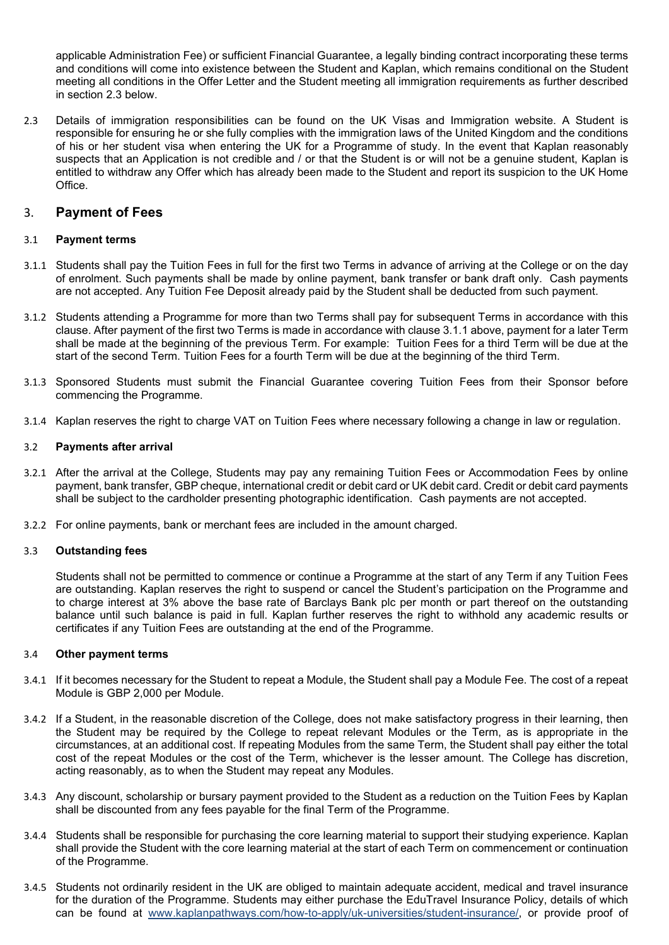applicable Administration Fee) or sufficient Financial Guarantee, a legally binding contract incorporating these terms and conditions will come into existence between the Student and Kaplan, which remains conditional on the Student meeting all conditions in the Offer Letter and the Student meeting all immigration requirements as further described in section 2.3 below.

2.3 Details of immigration responsibilities can be found on the UK Visas and Immigration website. A Student is responsible for ensuring he or she fully complies with the immigration laws of the United Kingdom and the conditions of his or her student visa when entering the UK for a Programme of study. In the event that Kaplan reasonably suspects that an Application is not credible and / or that the Student is or will not be a genuine student, Kaplan is entitled to withdraw any Offer which has already been made to the Student and report its suspicion to the UK Home Office.

## 3. **Payment of Fees**

## 3.1 **Payment terms**

- 3.1.1 Students shall pay the Tuition Fees in full for the first two Terms in advance of arriving at the College or on the day of enrolment. Such payments shall be made by online payment, bank transfer or bank draft only. Cash payments are not accepted. Any Tuition Fee Deposit already paid by the Student shall be deducted from such payment.
- 3.1.2 Students attending a Programme for more than two Terms shall pay for subsequent Terms in accordance with this clause. After payment of the first two Terms is made in accordance with clause 3.1.1 above, payment for a later Term shall be made at the beginning of the previous Term. For example: Tuition Fees for a third Term will be due at the start of the second Term. Tuition Fees for a fourth Term will be due at the beginning of the third Term.
- 3.1.3 Sponsored Students must submit the Financial Guarantee covering Tuition Fees from their Sponsor before commencing the Programme.
- 3.1.4 Kaplan reserves the right to charge VAT on Tuition Fees where necessary following a change in law or regulation.

## 3.2 **Payments after arrival**

- 3.2.1 After the arrival at the College, Students may pay any remaining Tuition Fees or Accommodation Fees by online payment, bank transfer, GBP cheque, international credit or debit card or UK debit card. Credit or debit card payments shall be subject to the cardholder presenting photographic identification. Cash payments are not accepted.
- 3.2.2 For online payments, bank or merchant fees are included in the amount charged.

### 3.3 **Outstanding fees**

Students shall not be permitted to commence or continue a Programme at the start of any Term if any Tuition Fees are outstanding. Kaplan reserves the right to suspend or cancel the Student's participation on the Programme and to charge interest at 3% above the base rate of Barclays Bank plc per month or part thereof on the outstanding balance until such balance is paid in full. Kaplan further reserves the right to withhold any academic results or certificates if any Tuition Fees are outstanding at the end of the Programme.

### 3.4 **Other payment terms**

- 3.4.1 If it becomes necessary for the Student to repeat a Module, the Student shall pay a Module Fee. The cost of a repeat Module is GBP 2,000 per Module.
- 3.4.2 If a Student, in the reasonable discretion of the College, does not make satisfactory progress in their learning, then the Student may be required by the College to repeat relevant Modules or the Term, as is appropriate in the circumstances, at an additional cost. If repeating Modules from the same Term, the Student shall pay either the total cost of the repeat Modules or the cost of the Term, whichever is the lesser amount. The College has discretion, acting reasonably, as to when the Student may repeat any Modules.
- 3.4.3 Any discount, scholarship or bursary payment provided to the Student as a reduction on the Tuition Fees by Kaplan shall be discounted from any fees payable for the final Term of the Programme.
- 3.4.4 Students shall be responsible for purchasing the core learning material to support their studying experience. Kaplan shall provide the Student with the core learning material at the start of each Term on commencement or continuation of the Programme.
- 3.4.5 Students not ordinarily resident in the UK are obliged to maintain adequate accident, medical and travel insurance for the duration of the Programme. Students may either purchase the EduTravel Insurance Policy, details of which can be found at [www.kaplanpathways.com/](http://www.kaplanpathways.com/)how-to-apply/uk-universities/student-insurance/, or provide proof of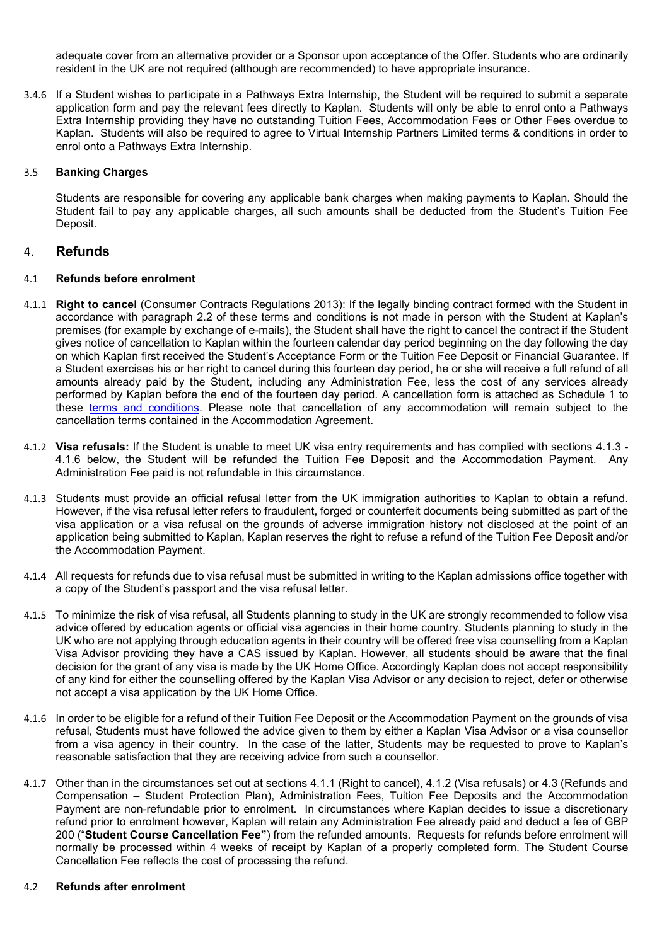adequate cover from an alternative provider or a Sponsor upon acceptance of the Offer. Students who are ordinarily resident in the UK are not required (although are recommended) to have appropriate insurance.

3.4.6 If a Student wishes to participate in a Pathways Extra Internship, the Student will be required to submit a separate application form and pay the relevant fees directly to Kaplan. Students will only be able to enrol onto a Pathways Extra Internship providing they have no outstanding Tuition Fees, Accommodation Fees or Other Fees overdue to Kaplan. Students will also be required to agree to Virtual Internship Partners Limited terms & conditions in order to enrol onto a Pathways Extra Internship.

## 3.5 **Banking Charges**

Students are responsible for covering any applicable bank charges when making payments to Kaplan. Should the Student fail to pay any applicable charges, all such amounts shall be deducted from the Student's Tuition Fee Deposit.

## 4. **Refunds**

## 4.1 **Refunds before enrolment**

- 4.1.1 **Right to cancel** (Consumer Contracts Regulations 2013): If the legally binding contract formed with the Student in accordance with paragraph 2.2 of these terms and conditions is not made in person with the Student at Kaplan's premises (for example by exchange of e-mails), the Student shall have the right to cancel the contract if the Student gives notice of cancellation to Kaplan within the fourteen calendar day period beginning on the day following the day on which Kaplan first received the Student's Acceptance Form or the Tuition Fee Deposit or Financial Guarantee. If a Student exercises his or her right to cancel during this fourteen day period, he or she will receive a full refund of all amounts already paid by the Student, including any Administration Fee, less the cost of any services already performed by Kaplan before the end of the fourteen day period. A cancellation form is attached as Schedule 1 to these [terms and conditions.](https://www.kaplanpathways.com/how-to-apply/uk-universities/terms-and-conditions/) Please note that cancellation of any accommodation will remain subject to the cancellation terms contained in the Accommodation Agreement.
- 4.1.2 **Visa refusals:** If the Student is unable to meet UK visa entry requirements and has complied with sections 4.1.3 4.1.6 below, the Student will be refunded the Tuition Fee Deposit and the Accommodation Payment. Any Administration Fee paid is not refundable in this circumstance.
- 4.1.3 Students must provide an official refusal letter from the UK immigration authorities to Kaplan to obtain a refund. However, if the visa refusal letter refers to fraudulent, forged or counterfeit documents being submitted as part of the visa application or a visa refusal on the grounds of adverse immigration history not disclosed at the point of an application being submitted to Kaplan, Kaplan reserves the right to refuse a refund of the Tuition Fee Deposit and/or the Accommodation Payment.
- 4.1.4 All requests for refunds due to visa refusal must be submitted in writing to the Kaplan admissions office together with a copy of the Student's passport and the visa refusal letter.
- 4.1.5 To minimize the risk of visa refusal, all Students planning to study in the UK are strongly recommended to follow visa advice offered by education agents or official visa agencies in their home country. Students planning to study in the UK who are not applying through education agents in their country will be offered free visa counselling from a Kaplan Visa Advisor providing they have a CAS issued by Kaplan. However, all students should be aware that the final decision for the grant of any visa is made by the UK Home Office. Accordingly Kaplan does not accept responsibility of any kind for either the counselling offered by the Kaplan Visa Advisor or any decision to reject, defer or otherwise not accept a visa application by the UK Home Office.
- 4.1.6 In order to be eligible for a refund of their Tuition Fee Deposit or the Accommodation Payment on the grounds of visa refusal, Students must have followed the advice given to them by either a Kaplan Visa Advisor or a visa counsellor from a visa agency in their country. In the case of the latter, Students may be requested to prove to Kaplan's reasonable satisfaction that they are receiving advice from such a counsellor.
- 4.1.7 Other than in the circumstances set out at sections 4.1.1 (Right to cancel), 4.1.2 (Visa refusals) or 4.3 (Refunds and Compensation – Student Protection Plan), Administration Fees, Tuition Fee Deposits and the Accommodation Payment are non-refundable prior to enrolment. In circumstances where Kaplan decides to issue a discretionary refund prior to enrolment however, Kaplan will retain any Administration Fee already paid and deduct a fee of GBP 200 ("**Student Course Cancellation Fee"**) from the refunded amounts. Requests for refunds before enrolment will normally be processed within 4 weeks of receipt by Kaplan of a properly completed form. The Student Course Cancellation Fee reflects the cost of processing the refund.

### 4.2 **Refunds after enrolment**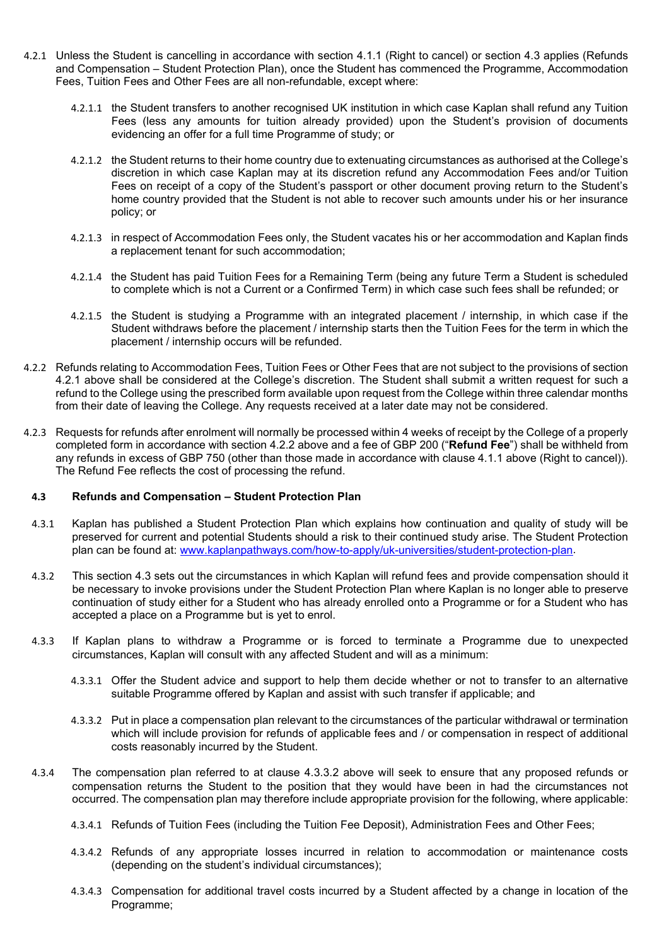- 4.2.1 Unless the Student is cancelling in accordance with section 4.1.1 (Right to cancel) or section 4.3 applies (Refunds and Compensation – Student Protection Plan), once the Student has commenced the Programme, Accommodation Fees, Tuition Fees and Other Fees are all non-refundable, except where:
	- 4.2.1.1 the Student transfers to another recognised UK institution in which case Kaplan shall refund any Tuition Fees (less any amounts for tuition already provided) upon the Student's provision of documents evidencing an offer for a full time Programme of study; or
	- 4.2.1.2 the Student returns to their home country due to extenuating circumstances as authorised at the College's discretion in which case Kaplan may at its discretion refund any Accommodation Fees and/or Tuition Fees on receipt of a copy of the Student's passport or other document proving return to the Student's home country provided that the Student is not able to recover such amounts under his or her insurance policy; or
	- 4.2.1.3 in respect of Accommodation Fees only, the Student vacates his or her accommodation and Kaplan finds a replacement tenant for such accommodation;
	- 4.2.1.4 the Student has paid Tuition Fees for a Remaining Term (being any future Term a Student is scheduled to complete which is not a Current or a Confirmed Term) in which case such fees shall be refunded; or
	- 4.2.1.5 the Student is studying a Programme with an integrated placement / internship, in which case if the Student withdraws before the placement / internship starts then the Tuition Fees for the term in which the placement / internship occurs will be refunded.
- 4.2.2 Refunds relating to Accommodation Fees, Tuition Fees or Other Fees that are not subject to the provisions of section 4.2.1 above shall be considered at the College's discretion. The Student shall submit a written request for such a refund to the College using the prescribed form available upon request from the College within three calendar months from their date of leaving the College. Any requests received at a later date may not be considered.
- 4.2.3 Requests for refunds after enrolment will normally be processed within 4 weeks of receipt by the College of a properly completed form in accordance with section 4.2.2 above and a fee of GBP 200 ("**Refund Fee**") shall be withheld from any refunds in excess of GBP 750 (other than those made in accordance with clause 4.1.1 above (Right to cancel)). The Refund Fee reflects the cost of processing the refund.

### **4.3 Refunds and Compensation – Student Protection Plan**

- 4.3.1 Kaplan has published a Student Protection Plan which explains how continuation and quality of study will be preserved for current and potential Students should a risk to their continued study arise. The Student Protection plan can be found at: [www.kaplanpathways.com/how-to-apply/uk-universities/student-protection-plan.](http://www.kaplanpathways.com/how-to-apply/uk-universities/student-protection-plan)
- 4.3.2 This section 4.3 sets out the circumstances in which Kaplan will refund fees and provide compensation should it be necessary to invoke provisions under the Student Protection Plan where Kaplan is no longer able to preserve continuation of study either for a Student who has already enrolled onto a Programme or for a Student who has accepted a place on a Programme but is yet to enrol.
- 4.3.3 If Kaplan plans to withdraw a Programme or is forced to terminate a Programme due to unexpected circumstances, Kaplan will consult with any affected Student and will as a minimum:
	- 4.3.3.1 Offer the Student advice and support to help them decide whether or not to transfer to an alternative suitable Programme offered by Kaplan and assist with such transfer if applicable; and
	- 4.3.3.2 Put in place a compensation plan relevant to the circumstances of the particular withdrawal or termination which will include provision for refunds of applicable fees and / or compensation in respect of additional costs reasonably incurred by the Student.
- 4.3.4 The compensation plan referred to at clause 4.3.3.2 above will seek to ensure that any proposed refunds or compensation returns the Student to the position that they would have been in had the circumstances not occurred. The compensation plan may therefore include appropriate provision for the following, where applicable:
	- 4.3.4.1 Refunds of Tuition Fees (including the Tuition Fee Deposit), Administration Fees and Other Fees;
	- 4.3.4.2 Refunds of any appropriate losses incurred in relation to accommodation or maintenance costs (depending on the student's individual circumstances);
	- 4.3.4.3 Compensation for additional travel costs incurred by a Student affected by a change in location of the Programme;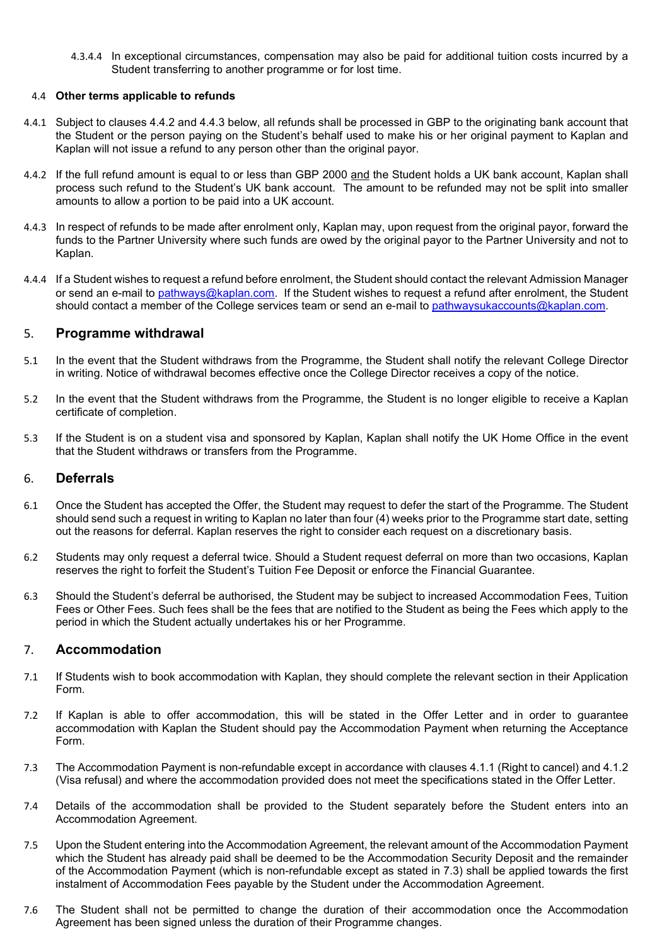4.3.4.4 In exceptional circumstances, compensation may also be paid for additional tuition costs incurred by a Student transferring to another programme or for lost time.

## 4.4 **Other terms applicable to refunds**

- 4.4.1 Subject to clauses 4.4.2 and 4.4.3 below, all refunds shall be processed in GBP to the originating bank account that the Student or the person paying on the Student's behalf used to make his or her original payment to Kaplan and Kaplan will not issue a refund to any person other than the original payor.
- 4.4.2 If the full refund amount is equal to or less than GBP 2000 and the Student holds a UK bank account, Kaplan shall process such refund to the Student's UK bank account. The amount to be refunded may not be split into smaller amounts to allow a portion to be paid into a UK account.
- 4.4.3 In respect of refunds to be made after enrolment only, Kaplan may, upon request from the original payor, forward the funds to the Partner University where such funds are owed by the original payor to the Partner University and not to Kaplan.
- 4.4.4 If a Student wishes to request a refund before enrolment, the Student should contact the relevant Admission Manager or send an e-mail to [pathways@kaplan.com.](mailto:pathways@kaplan.com) If the Student wishes to request a refund after enrolment, the Student should contact a member of the College services team or send an e-mail to [pathwaysukaccounts@kaplan.com.](mailto:pathwaysukaccounts@kaplan.com)

## 5. **Programme withdrawal**

- 5.1 In the event that the Student withdraws from the Programme, the Student shall notify the relevant College Director in writing. Notice of withdrawal becomes effective once the College Director receives a copy of the notice.
- 5.2 In the event that the Student withdraws from the Programme, the Student is no longer eligible to receive a Kaplan certificate of completion.
- 5.3 If the Student is on a student visa and sponsored by Kaplan, Kaplan shall notify the UK Home Office in the event that the Student withdraws or transfers from the Programme.

## 6. **Deferrals**

- 6.1 Once the Student has accepted the Offer, the Student may request to defer the start of the Programme. The Student should send such a request in writing to Kaplan no later than four (4) weeks prior to the Programme start date, setting out the reasons for deferral. Kaplan reserves the right to consider each request on a discretionary basis.
- 6.2 Students may only request a deferral twice. Should a Student request deferral on more than two occasions, Kaplan reserves the right to forfeit the Student's Tuition Fee Deposit or enforce the Financial Guarantee.
- 6.3 Should the Student's deferral be authorised, the Student may be subject to increased Accommodation Fees, Tuition Fees or Other Fees. Such fees shall be the fees that are notified to the Student as being the Fees which apply to the period in which the Student actually undertakes his or her Programme.

# 7. **Accommodation**

- 7.1 If Students wish to book accommodation with Kaplan, they should complete the relevant section in their Application Form.
- 7.2 If Kaplan is able to offer accommodation, this will be stated in the Offer Letter and in order to guarantee accommodation with Kaplan the Student should pay the Accommodation Payment when returning the Acceptance Form.
- 7.3 The Accommodation Payment is non-refundable except in accordance with clauses 4.1.1 (Right to cancel) and 4.1.2 (Visa refusal) and where the accommodation provided does not meet the specifications stated in the Offer Letter.
- 7.4 Details of the accommodation shall be provided to the Student separately before the Student enters into an Accommodation Agreement.
- 7.5 Upon the Student entering into the Accommodation Agreement, the relevant amount of the Accommodation Payment which the Student has already paid shall be deemed to be the Accommodation Security Deposit and the remainder of the Accommodation Payment (which is non-refundable except as stated in 7.3) shall be applied towards the first instalment of Accommodation Fees payable by the Student under the Accommodation Agreement.
- 7.6 The Student shall not be permitted to change the duration of their accommodation once the Accommodation Agreement has been signed unless the duration of their Programme changes.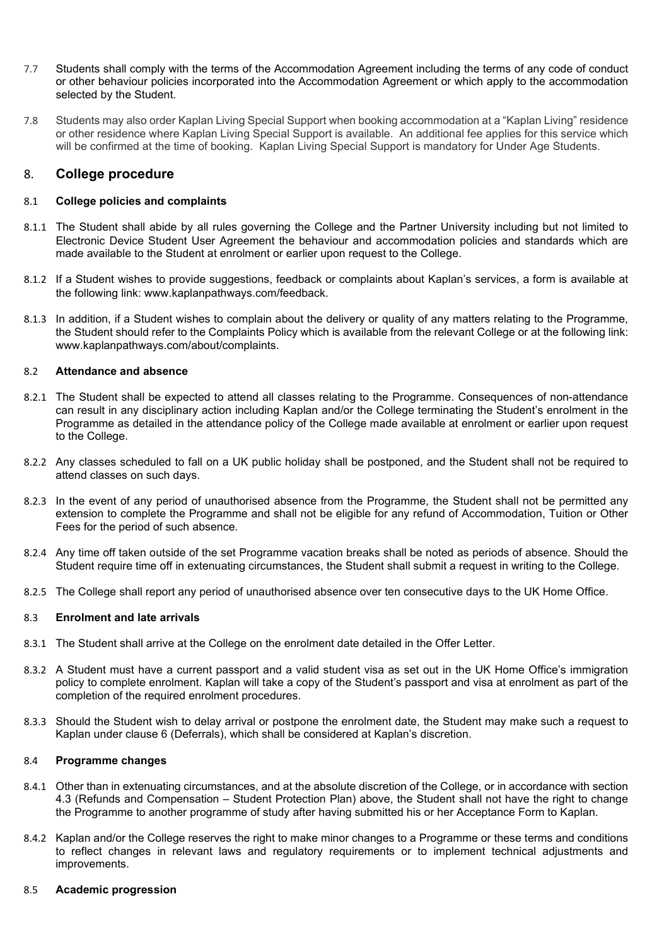- 7.7 Students shall comply with the terms of the Accommodation Agreement including the terms of any code of conduct or other behaviour policies incorporated into the Accommodation Agreement or which apply to the accommodation selected by the Student.
- 7.8 Students may also order Kaplan Living Special Support when booking accommodation at a "Kaplan Living" residence or other residence where Kaplan Living Special Support is available. An additional fee applies for this service which will be confirmed at the time of booking. Kaplan Living Special Support is mandatory for Under Age Students.

## 8. **College procedure**

## 8.1 **College policies and complaints**

- 8.1.1 The Student shall abide by all rules governing the College and the Partner University including but not limited to Electronic Device Student User Agreement the behaviour and accommodation policies and standards which are made available to the Student at enrolment or earlier upon request to the College.
- 8.1.2 If a Student wishes to provide suggestions, feedback or complaints about Kaplan's services, a form is available at the following link: www.kaplanpathways.com/feedback.
- 8.1.3 In addition, if a Student wishes to complain about the delivery or quality of any matters relating to the Programme, the Student should refer to the Complaints Policy which is available from the relevant College or at the following link: www.kaplanpathways.com/about/complaints.

### 8.2 **Attendance and absence**

- 8.2.1 The Student shall be expected to attend all classes relating to the Programme. Consequences of non-attendance can result in any disciplinary action including Kaplan and/or the College terminating the Student's enrolment in the Programme as detailed in the attendance policy of the College made available at enrolment or earlier upon request to the College.
- 8.2.2 Any classes scheduled to fall on a UK public holiday shall be postponed, and the Student shall not be required to attend classes on such days.
- 8.2.3 In the event of any period of unauthorised absence from the Programme, the Student shall not be permitted any extension to complete the Programme and shall not be eligible for any refund of Accommodation, Tuition or Other Fees for the period of such absence.
- 8.2.4 Any time off taken outside of the set Programme vacation breaks shall be noted as periods of absence. Should the Student require time off in extenuating circumstances, the Student shall submit a request in writing to the College.
- 8.2.5 The College shall report any period of unauthorised absence over ten consecutive days to the UK Home Office.

### 8.3 **Enrolment and late arrivals**

- 8.3.1 The Student shall arrive at the College on the enrolment date detailed in the Offer Letter.
- 8.3.2 A Student must have a current passport and a valid student visa as set out in the UK Home Office's immigration policy to complete enrolment. Kaplan will take a copy of the Student's passport and visa at enrolment as part of the completion of the required enrolment procedures.
- 8.3.3 Should the Student wish to delay arrival or postpone the enrolment date, the Student may make such a request to Kaplan under clause 6 (Deferrals), which shall be considered at Kaplan's discretion.

### 8.4 **Programme changes**

- 8.4.1 Other than in extenuating circumstances, and at the absolute discretion of the College, or in accordance with section 4.3 (Refunds and Compensation – Student Protection Plan) above, the Student shall not have the right to change the Programme to another programme of study after having submitted his or her Acceptance Form to Kaplan.
- 8.4.2 Kaplan and/or the College reserves the right to make minor changes to a Programme or these terms and conditions to reflect changes in relevant laws and regulatory requirements or to implement technical adjustments and improvements.

### 8.5 **Academic progression**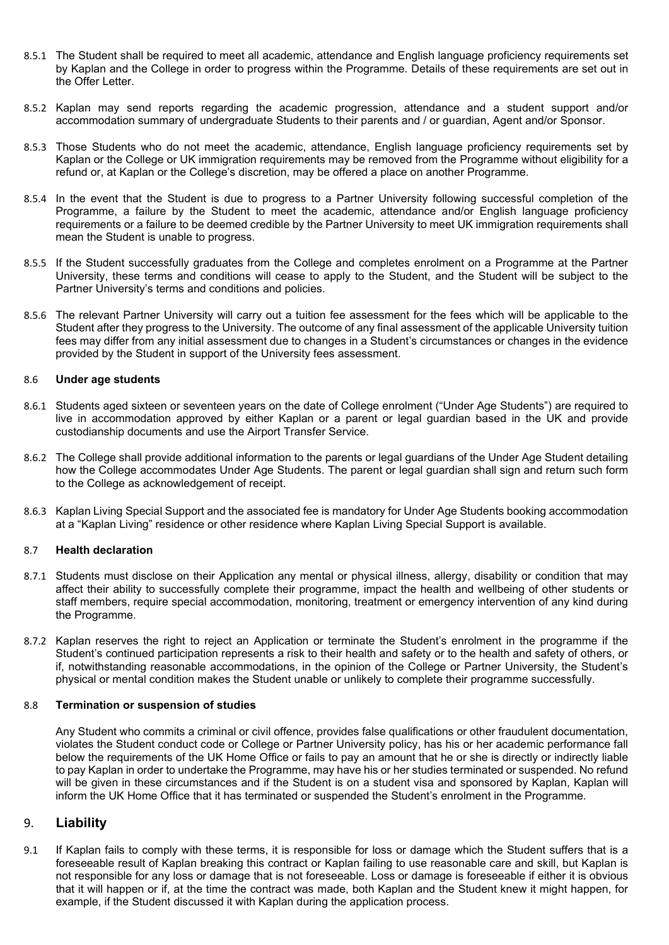- 8.5.1 The Student shall be required to meet all academic, attendance and English language proficiency requirements set by Kaplan and the College in order to progress within the Programme. Details of these requirements are set out in the Offer Letter.
- 8.5.2 Kaplan may send reports regarding the academic progression, attendance and a student support and/or accommodation summary of undergraduate Students to their parents and / or guardian, Agent and/or Sponsor.
- 8.5.3 Those Students who do not meet the academic, attendance, English language proficiency requirements set by Kaplan or the College or UK immigration requirements may be removed from the Programme without eligibility for a refund or, at Kaplan or the College's discretion, may be offered a place on another Programme.
- 8.5.4 In the event that the Student is due to progress to a Partner University following successful completion of the Programme, a failure by the Student to meet the academic, attendance and/or English language proficiency requirements or a failure to be deemed credible by the Partner University to meet UK immigration requirements shall mean the Student is unable to progress.
- 8.5.5 If the Student successfully graduates from the College and completes enrolment on a Programme at the Partner University, these terms and conditions will cease to apply to the Student, and the Student will be subject to the Partner University's terms and conditions and policies.
- 8.5.6 The relevant Partner University will carry out a tuition fee assessment for the fees which will be applicable to the Student after they progress to the University. The outcome of any final assessment of the applicable University tuition fees may differ from any initial assessment due to changes in a Student's circumstances or changes in the evidence provided by the Student in support of the University fees assessment.

### 8.6 **Under age students**

- 8.6.1 Students aged sixteen or seventeen years on the date of College enrolment ("Under Age Students") are required to live in accommodation approved by either Kaplan or a parent or legal guardian based in the UK and provide custodianship documents and use the Airport Transfer Service.
- 8.6.2 The College shall provide additional information to the parents or legal guardians of the Under Age Student detailing how the College accommodates Under Age Students. The parent or legal guardian shall sign and return such form to the College as acknowledgement of receipt.
- 8.6.3 Kaplan Living Special Support and the associated fee is mandatory for Under Age Students booking accommodation at a "Kaplan Living" residence or other residence where Kaplan Living Special Support is available.

### 8.7 **Health declaration**

- 8.7.1 Students must disclose on their Application any mental or physical illness, allergy, disability or condition that may affect their ability to successfully complete their programme, impact the health and wellbeing of other students or staff members, require special accommodation, monitoring, treatment or emergency intervention of any kind during the Programme.
- 8.7.2 Kaplan reserves the right to reject an Application or terminate the Student's enrolment in the programme if the Student's continued participation represents a risk to their health and safety or to the health and safety of others, or if, notwithstanding reasonable accommodations, in the opinion of the College or Partner University, the Student's physical or mental condition makes the Student unable or unlikely to complete their programme successfully.

### 8.8 **Termination or suspension of studies**

Any Student who commits a criminal or civil offence, provides false qualifications or other fraudulent documentation, violates the Student conduct code or College or Partner University policy, has his or her academic performance fall below the requirements of the UK Home Office or fails to pay an amount that he or she is directly or indirectly liable to pay Kaplan in order to undertake the Programme, may have his or her studies terminated or suspended. No refund will be given in these circumstances and if the Student is on a student visa and sponsored by Kaplan, Kaplan will inform the UK Home Office that it has terminated or suspended the Student's enrolment in the Programme.

## 9. **Liability**

9.1 If Kaplan fails to comply with these terms, it is responsible for loss or damage which the Student suffers that is a foreseeable result of Kaplan breaking this contract or Kaplan failing to use reasonable care and skill, but Kaplan is not responsible for any loss or damage that is not foreseeable. Loss or damage is foreseeable if either it is obvious that it will happen or if, at the time the contract was made, both Kaplan and the Student knew it might happen, for example, if the Student discussed it with Kaplan during the application process.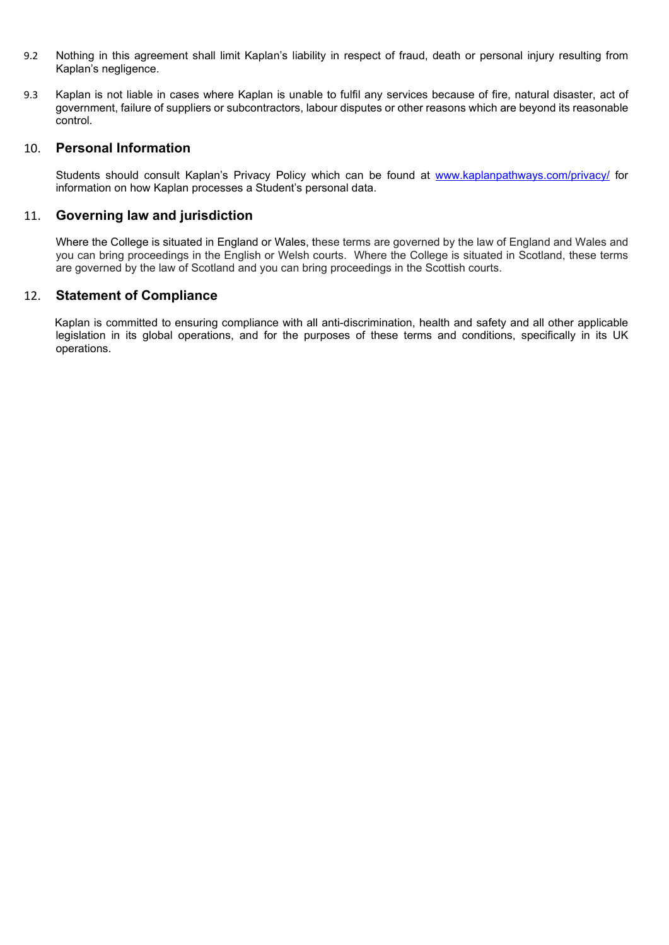- 9.2 Nothing in this agreement shall limit Kaplan's liability in respect of fraud, death or personal injury resulting from Kaplan's negligence.
- 9.3 Kaplan is not liable in cases where Kaplan is unable to fulfil any services because of fire, natural disaster, act of government, failure of suppliers or subcontractors, labour disputes or other reasons which are beyond its reasonable control.

## 10. **Personal Information**

Students should consult Kaplan's Privacy Policy which can be found at [www.kaplanpathways.com/privacy/](http://www.kaplanpathways.com/privacy/) for information on how Kaplan processes a Student's personal data.

# 11. **Governing law and jurisdiction**

Where the College is situated in England or Wales, these terms are governed by the law of England and Wales and you can bring proceedings in the English or Welsh courts. Where the College is situated in Scotland, these terms are governed by the law of Scotland and you can bring proceedings in the Scottish courts.

## 12. **Statement of Compliance**

 Kaplan is committed to ensuring compliance with all anti-discrimination, health and safety and all other applicable legislation in its global operations, and for the purposes of these terms and conditions, specifically in its UK operations.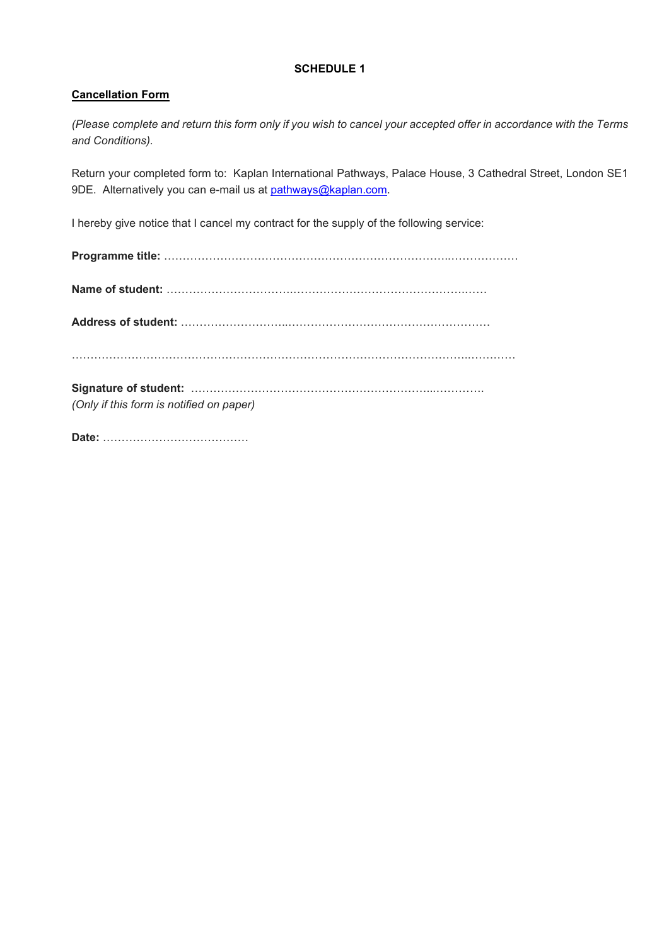# **SCHEDULE 1**

## **Cancellation Form**

*(Please complete and return this form only if you wish to cancel your accepted offer in accordance with the Terms and Conditions).*

Return your completed form to: Kaplan International Pathways, Palace House, 3 Cathedral Street, London SE1 9DE. Alternatively you can e-mail us at [pathways@kaplan.com.](mailto:pathways@kaplan.com)

I hereby give notice that I cancel my contract for the supply of the following service:

| (Only if this form is notified on paper) |
|------------------------------------------|

**Date:** …………………………………